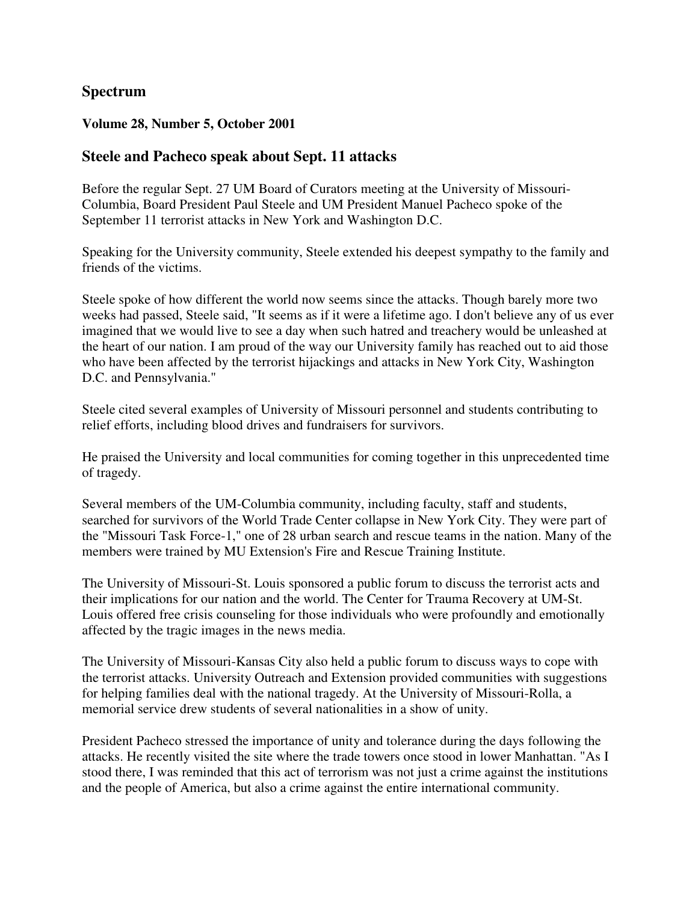# **Spectrum**

#### **Volume 28, Number 5, October 2001**

### **Steele and Pacheco speak about Sept. 11 attacks**

Before the regular Sept. 27 UM Board of Curators meeting at the University of Missouri-Columbia, Board President Paul Steele and UM President Manuel Pacheco spoke of the September 11 terrorist attacks in New York and Washington D.C.

Speaking for the University community, Steele extended his deepest sympathy to the family and friends of the victims.

Steele spoke of how different the world now seems since the attacks. Though barely more two weeks had passed, Steele said, "It seems as if it were a lifetime ago. I don't believe any of us ever imagined that we would live to see a day when such hatred and treachery would be unleashed at the heart of our nation. I am proud of the way our University family has reached out to aid those who have been affected by the terrorist hijackings and attacks in New York City, Washington D.C. and Pennsylvania."

Steele cited several examples of University of Missouri personnel and students contributing to relief efforts, including blood drives and fundraisers for survivors.

He praised the University and local communities for coming together in this unprecedented time of tragedy.

Several members of the UM-Columbia community, including faculty, staff and students, searched for survivors of the World Trade Center collapse in New York City. They were part of the "Missouri Task Force-1," one of 28 urban search and rescue teams in the nation. Many of the members were trained by MU Extension's Fire and Rescue Training Institute.

The University of Missouri-St. Louis sponsored a public forum to discuss the terrorist acts and their implications for our nation and the world. The Center for Trauma Recovery at UM-St. Louis offered free crisis counseling for those individuals who were profoundly and emotionally affected by the tragic images in the news media.

The University of Missouri-Kansas City also held a public forum to discuss ways to cope with the terrorist attacks. University Outreach and Extension provided communities with suggestions for helping families deal with the national tragedy. At the University of Missouri-Rolla, a memorial service drew students of several nationalities in a show of unity.

President Pacheco stressed the importance of unity and tolerance during the days following the attacks. He recently visited the site where the trade towers once stood in lower Manhattan. "As I stood there, I was reminded that this act of terrorism was not just a crime against the institutions and the people of America, but also a crime against the entire international community.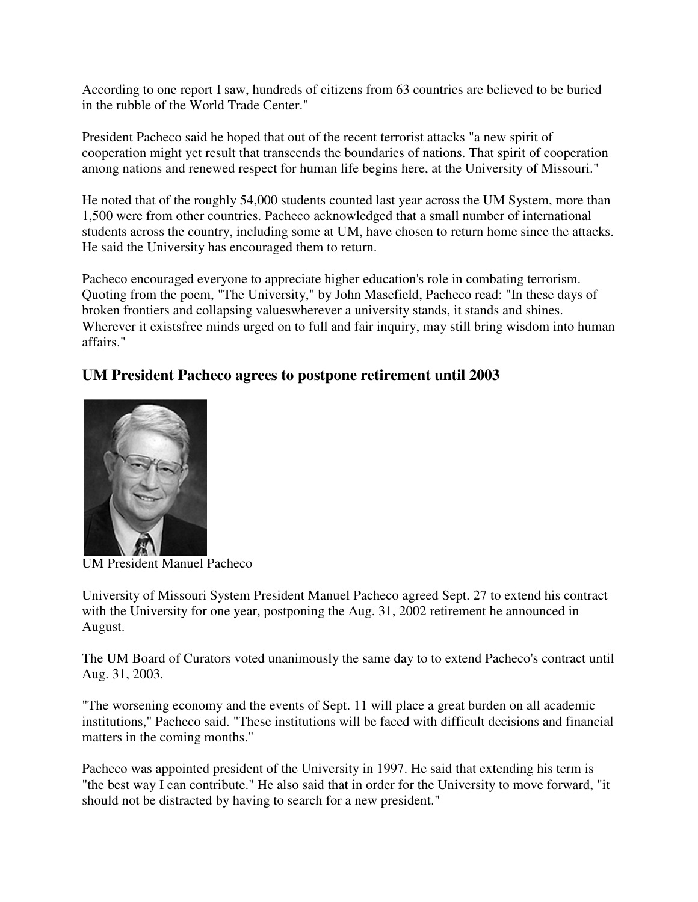According to one report I saw, hundreds of citizens from 63 countries are believed to be buried in the rubble of the World Trade Center."

President Pacheco said he hoped that out of the recent terrorist attacks "a new spirit of cooperation might yet result that transcends the boundaries of nations. That spirit of cooperation among nations and renewed respect for human life begins here, at the University of Missouri."

He noted that of the roughly 54,000 students counted last year across the UM System, more than 1,500 were from other countries. Pacheco acknowledged that a small number of international students across the country, including some at UM, have chosen to return home since the attacks. He said the University has encouraged them to return.

Pacheco encouraged everyone to appreciate higher education's role in combating terrorism. Quoting from the poem, "The University," by John Masefield, Pacheco read: "In these days of broken frontiers and collapsing valueswherever a university stands, it stands and shines. Wherever it existsfree minds urged on to full and fair inquiry, may still bring wisdom into human affairs."

# **UM President Pacheco agrees to postpone retirement until 2003**



UM President Manuel Pacheco

University of Missouri System President Manuel Pacheco agreed Sept. 27 to extend his contract with the University for one year, postponing the Aug. 31, 2002 retirement he announced in August.

The UM Board of Curators voted unanimously the same day to to extend Pacheco's contract until Aug. 31, 2003.

"The worsening economy and the events of Sept. 11 will place a great burden on all academic institutions," Pacheco said. "These institutions will be faced with difficult decisions and financial matters in the coming months."

Pacheco was appointed president of the University in 1997. He said that extending his term is "the best way I can contribute." He also said that in order for the University to move forward, "it should not be distracted by having to search for a new president."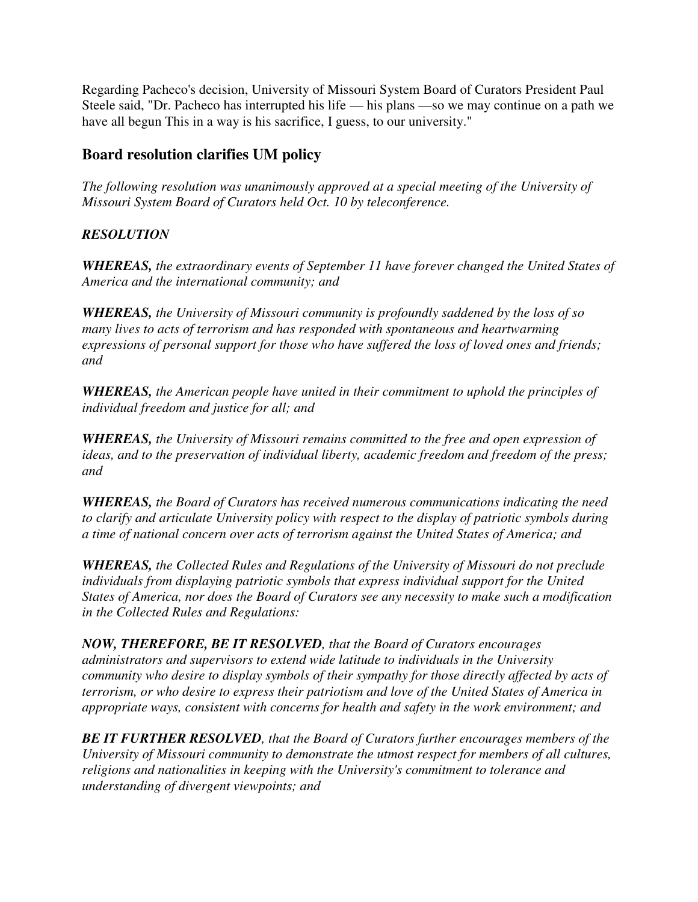Regarding Pacheco's decision, University of Missouri System Board of Curators President Paul Steele said, "Dr. Pacheco has interrupted his life — his plans —so we may continue on a path we have all begun This in a way is his sacrifice, I guess, to our university."

# **Board resolution clarifies UM policy**

*The following resolution was unanimously approved at a special meeting of the University of Missouri System Board of Curators held Oct. 10 by teleconference.* 

# *RESOLUTION*

*WHEREAS, the extraordinary events of September 11 have forever changed the United States of America and the international community; and* 

*WHEREAS, the University of Missouri community is profoundly saddened by the loss of so many lives to acts of terrorism and has responded with spontaneous and heartwarming expressions of personal support for those who have suffered the loss of loved ones and friends; and* 

*WHEREAS, the American people have united in their commitment to uphold the principles of individual freedom and justice for all; and* 

*WHEREAS, the University of Missouri remains committed to the free and open expression of ideas, and to the preservation of individual liberty, academic freedom and freedom of the press; and* 

*WHEREAS, the Board of Curators has received numerous communications indicating the need to clarify and articulate University policy with respect to the display of patriotic symbols during a time of national concern over acts of terrorism against the United States of America; and* 

*WHEREAS, the Collected Rules and Regulations of the University of Missouri do not preclude individuals from displaying patriotic symbols that express individual support for the United States of America, nor does the Board of Curators see any necessity to make such a modification in the Collected Rules and Regulations:* 

*NOW, THEREFORE, BE IT RESOLVED, that the Board of Curators encourages administrators and supervisors to extend wide latitude to individuals in the University community who desire to display symbols of their sympathy for those directly affected by acts of terrorism, or who desire to express their patriotism and love of the United States of America in appropriate ways, consistent with concerns for health and safety in the work environment; and* 

*BE IT FURTHER RESOLVED, that the Board of Curators further encourages members of the University of Missouri community to demonstrate the utmost respect for members of all cultures, religions and nationalities in keeping with the University's commitment to tolerance and understanding of divergent viewpoints; and*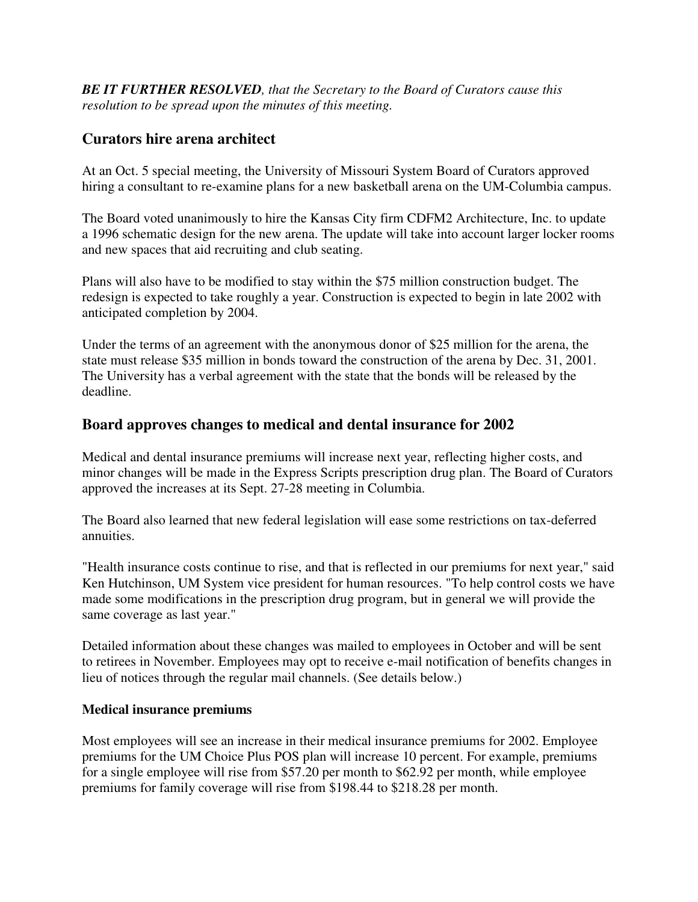*BE IT FURTHER RESOLVED, that the Secretary to the Board of Curators cause this resolution to be spread upon the minutes of this meeting.*

# **Curators hire arena architect**

At an Oct. 5 special meeting, the University of Missouri System Board of Curators approved hiring a consultant to re-examine plans for a new basketball arena on the UM-Columbia campus.

The Board voted unanimously to hire the Kansas City firm CDFM2 Architecture, Inc. to update a 1996 schematic design for the new arena. The update will take into account larger locker rooms and new spaces that aid recruiting and club seating.

Plans will also have to be modified to stay within the \$75 million construction budget. The redesign is expected to take roughly a year. Construction is expected to begin in late 2002 with anticipated completion by 2004.

Under the terms of an agreement with the anonymous donor of \$25 million for the arena, the state must release \$35 million in bonds toward the construction of the arena by Dec. 31, 2001. The University has a verbal agreement with the state that the bonds will be released by the deadline.

# **Board approves changes to medical and dental insurance for 2002**

Medical and dental insurance premiums will increase next year, reflecting higher costs, and minor changes will be made in the Express Scripts prescription drug plan. The Board of Curators approved the increases at its Sept. 27-28 meeting in Columbia.

The Board also learned that new federal legislation will ease some restrictions on tax-deferred annuities.

"Health insurance costs continue to rise, and that is reflected in our premiums for next year," said Ken Hutchinson, UM System vice president for human resources. "To help control costs we have made some modifications in the prescription drug program, but in general we will provide the same coverage as last year."

Detailed information about these changes was mailed to employees in October and will be sent to retirees in November. Employees may opt to receive e-mail notification of benefits changes in lieu of notices through the regular mail channels. (See details below.)

### **Medical insurance premiums**

Most employees will see an increase in their medical insurance premiums for 2002. Employee premiums for the UM Choice Plus POS plan will increase 10 percent. For example, premiums for a single employee will rise from \$57.20 per month to \$62.92 per month, while employee premiums for family coverage will rise from \$198.44 to \$218.28 per month.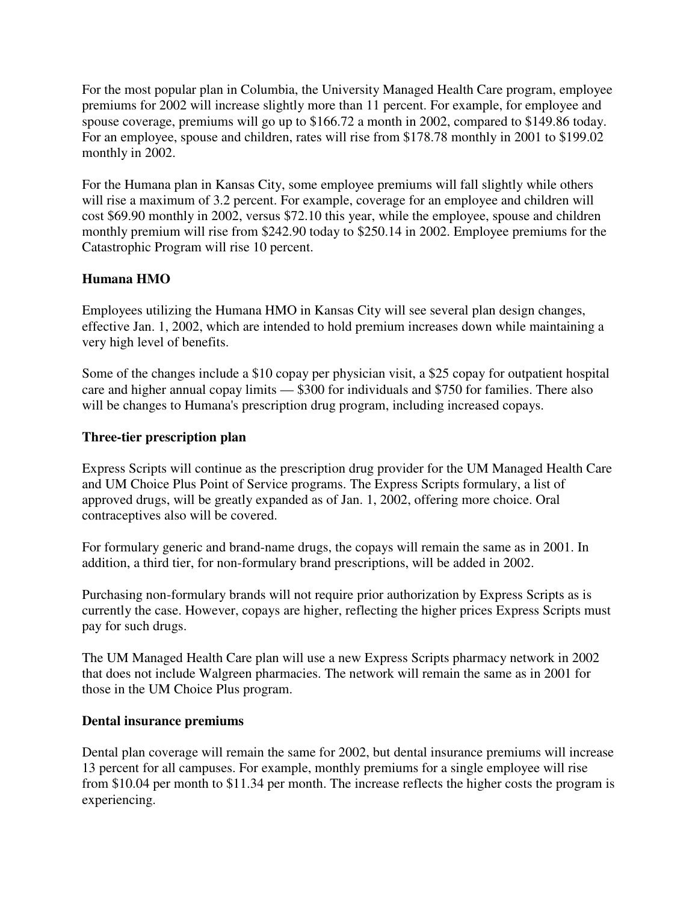For the most popular plan in Columbia, the University Managed Health Care program, employee premiums for 2002 will increase slightly more than 11 percent. For example, for employee and spouse coverage, premiums will go up to \$166.72 a month in 2002, compared to \$149.86 today. For an employee, spouse and children, rates will rise from \$178.78 monthly in 2001 to \$199.02 monthly in 2002.

For the Humana plan in Kansas City, some employee premiums will fall slightly while others will rise a maximum of 3.2 percent. For example, coverage for an employee and children will cost \$69.90 monthly in 2002, versus \$72.10 this year, while the employee, spouse and children monthly premium will rise from \$242.90 today to \$250.14 in 2002. Employee premiums for the Catastrophic Program will rise 10 percent.

### **Humana HMO**

Employees utilizing the Humana HMO in Kansas City will see several plan design changes, effective Jan. 1, 2002, which are intended to hold premium increases down while maintaining a very high level of benefits.

Some of the changes include a \$10 copay per physician visit, a \$25 copay for outpatient hospital care and higher annual copay limits — \$300 for individuals and \$750 for families. There also will be changes to Humana's prescription drug program, including increased copays.

### **Three-tier prescription plan**

Express Scripts will continue as the prescription drug provider for the UM Managed Health Care and UM Choice Plus Point of Service programs. The Express Scripts formulary, a list of approved drugs, will be greatly expanded as of Jan. 1, 2002, offering more choice. Oral contraceptives also will be covered.

For formulary generic and brand-name drugs, the copays will remain the same as in 2001. In addition, a third tier, for non-formulary brand prescriptions, will be added in 2002.

Purchasing non-formulary brands will not require prior authorization by Express Scripts as is currently the case. However, copays are higher, reflecting the higher prices Express Scripts must pay for such drugs.

The UM Managed Health Care plan will use a new Express Scripts pharmacy network in 2002 that does not include Walgreen pharmacies. The network will remain the same as in 2001 for those in the UM Choice Plus program.

#### **Dental insurance premiums**

Dental plan coverage will remain the same for 2002, but dental insurance premiums will increase 13 percent for all campuses. For example, monthly premiums for a single employee will rise from \$10.04 per month to \$11.34 per month. The increase reflects the higher costs the program is experiencing.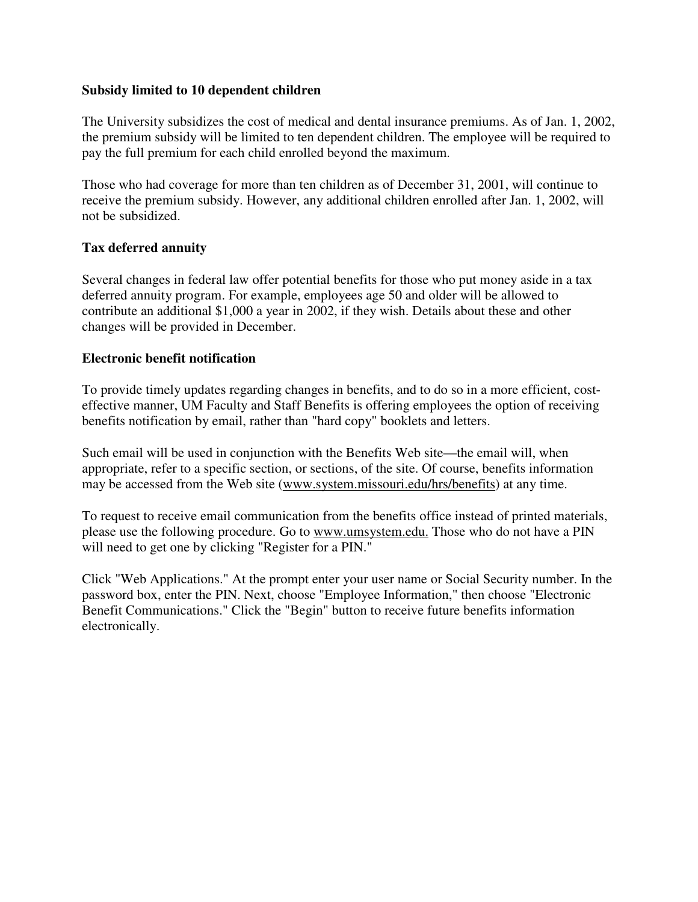#### **Subsidy limited to 10 dependent children**

The University subsidizes the cost of medical and dental insurance premiums. As of Jan. 1, 2002, the premium subsidy will be limited to ten dependent children. The employee will be required to pay the full premium for each child enrolled beyond the maximum.

Those who had coverage for more than ten children as of December 31, 2001, will continue to receive the premium subsidy. However, any additional children enrolled after Jan. 1, 2002, will not be subsidized.

### **Tax deferred annuity**

Several changes in federal law offer potential benefits for those who put money aside in a tax deferred annuity program. For example, employees age 50 and older will be allowed to contribute an additional \$1,000 a year in 2002, if they wish. Details about these and other changes will be provided in December.

### **Electronic benefit notification**

To provide timely updates regarding changes in benefits, and to do so in a more efficient, costeffective manner, UM Faculty and Staff Benefits is offering employees the option of receiving benefits notification by email, rather than "hard copy" booklets and letters.

Such email will be used in conjunction with the Benefits Web site—the email will, when appropriate, refer to a specific section, or sections, of the site. Of course, benefits information may be accessed from the Web site (www.system.missouri.edu/hrs/benefits) at any time.

To request to receive email communication from the benefits office instead of printed materials, please use the following procedure. Go to www.umsystem.edu. Those who do not have a PIN will need to get one by clicking "Register for a PIN."

Click "Web Applications." At the prompt enter your user name or Social Security number. In the password box, enter the PIN. Next, choose "Employee Information," then choose "Electronic Benefit Communications." Click the "Begin" button to receive future benefits information electronically.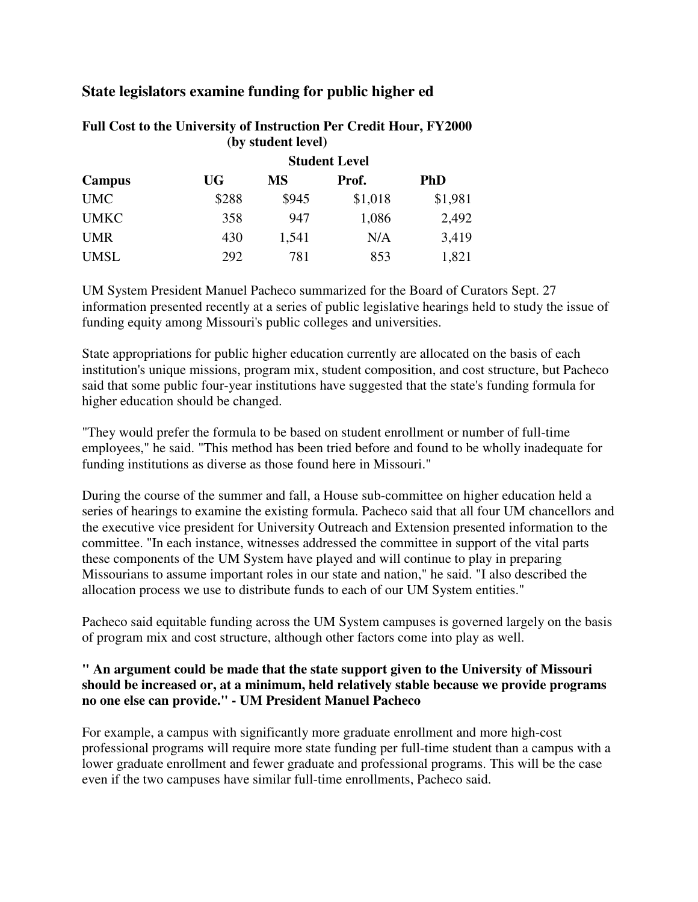# **State legislators examine funding for public higher ed**

| (DV SURGENT IEVEL) |                      |       |         |            |  |
|--------------------|----------------------|-------|---------|------------|--|
|                    | <b>Student Level</b> |       |         |            |  |
| Campus             | UG                   | MS    | Prof.   | <b>PhD</b> |  |
| <b>UMC</b>         | \$288                | \$945 | \$1,018 | \$1,981    |  |
| <b>UMKC</b>        | 358                  | 947   | 1,086   | 2,492      |  |
| <b>UMR</b>         | 430                  | 1,541 | N/A     | 3,419      |  |
| <b>UMSL</b>        | 292                  | 781   | 853     | 1,821      |  |

#### **Full Cost to the University of Instruction Per Credit Hour, FY2000 (by student level)**

UM System President Manuel Pacheco summarized for the Board of Curators Sept. 27 information presented recently at a series of public legislative hearings held to study the issue of funding equity among Missouri's public colleges and universities.

State appropriations for public higher education currently are allocated on the basis of each institution's unique missions, program mix, student composition, and cost structure, but Pacheco said that some public four-year institutions have suggested that the state's funding formula for higher education should be changed.

"They would prefer the formula to be based on student enrollment or number of full-time employees," he said. "This method has been tried before and found to be wholly inadequate for funding institutions as diverse as those found here in Missouri."

During the course of the summer and fall, a House sub-committee on higher education held a series of hearings to examine the existing formula. Pacheco said that all four UM chancellors and the executive vice president for University Outreach and Extension presented information to the committee. "In each instance, witnesses addressed the committee in support of the vital parts these components of the UM System have played and will continue to play in preparing Missourians to assume important roles in our state and nation," he said. "I also described the allocation process we use to distribute funds to each of our UM System entities."

Pacheco said equitable funding across the UM System campuses is governed largely on the basis of program mix and cost structure, although other factors come into play as well.

### **" An argument could be made that the state support given to the University of Missouri should be increased or, at a minimum, held relatively stable because we provide programs no one else can provide." - UM President Manuel Pacheco**

For example, a campus with significantly more graduate enrollment and more high-cost professional programs will require more state funding per full-time student than a campus with a lower graduate enrollment and fewer graduate and professional programs. This will be the case even if the two campuses have similar full-time enrollments, Pacheco said.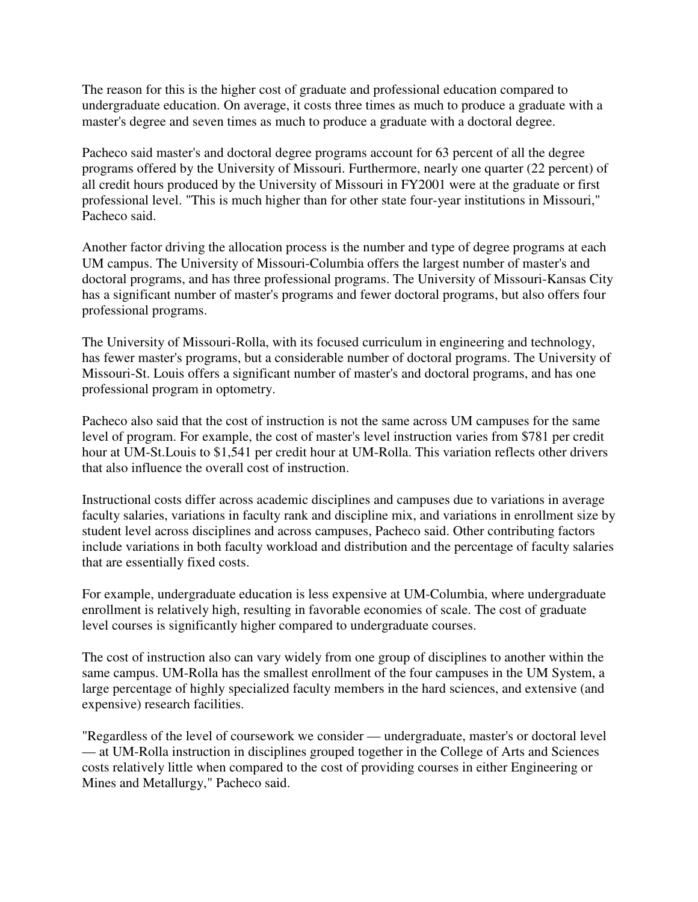The reason for this is the higher cost of graduate and professional education compared to undergraduate education. On average, it costs three times as much to produce a graduate with a master's degree and seven times as much to produce a graduate with a doctoral degree.

Pacheco said master's and doctoral degree programs account for 63 percent of all the degree programs offered by the University of Missouri. Furthermore, nearly one quarter (22 percent) of all credit hours produced by the University of Missouri in FY2001 were at the graduate or first professional level. "This is much higher than for other state four-year institutions in Missouri," Pacheco said.

Another factor driving the allocation process is the number and type of degree programs at each UM campus. The University of Missouri-Columbia offers the largest number of master's and doctoral programs, and has three professional programs. The University of Missouri-Kansas City has a significant number of master's programs and fewer doctoral programs, but also offers four professional programs.

The University of Missouri-Rolla, with its focused curriculum in engineering and technology, has fewer master's programs, but a considerable number of doctoral programs. The University of Missouri-St. Louis offers a significant number of master's and doctoral programs, and has one professional program in optometry.

Pacheco also said that the cost of instruction is not the same across UM campuses for the same level of program. For example, the cost of master's level instruction varies from \$781 per credit hour at UM-St.Louis to \$1,541 per credit hour at UM-Rolla. This variation reflects other drivers that also influence the overall cost of instruction.

Instructional costs differ across academic disciplines and campuses due to variations in average faculty salaries, variations in faculty rank and discipline mix, and variations in enrollment size by student level across disciplines and across campuses, Pacheco said. Other contributing factors include variations in both faculty workload and distribution and the percentage of faculty salaries that are essentially fixed costs.

For example, undergraduate education is less expensive at UM-Columbia, where undergraduate enrollment is relatively high, resulting in favorable economies of scale. The cost of graduate level courses is significantly higher compared to undergraduate courses.

The cost of instruction also can vary widely from one group of disciplines to another within the same campus. UM-Rolla has the smallest enrollment of the four campuses in the UM System, a large percentage of highly specialized faculty members in the hard sciences, and extensive (and expensive) research facilities.

"Regardless of the level of coursework we consider — undergraduate, master's or doctoral level — at UM-Rolla instruction in disciplines grouped together in the College of Arts and Sciences costs relatively little when compared to the cost of providing courses in either Engineering or Mines and Metallurgy," Pacheco said.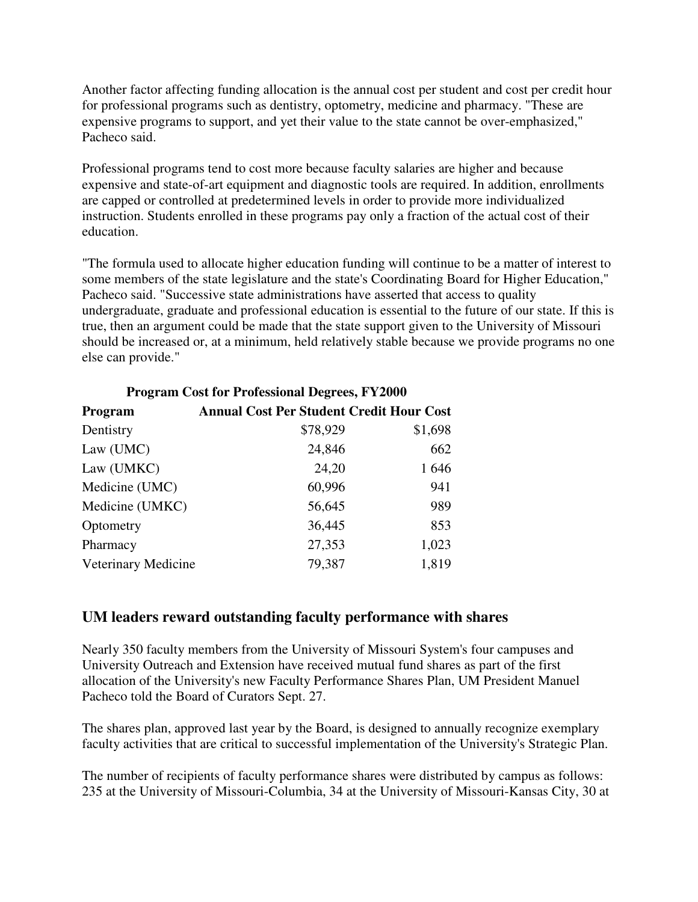Another factor affecting funding allocation is the annual cost per student and cost per credit hour for professional programs such as dentistry, optometry, medicine and pharmacy. "These are expensive programs to support, and yet their value to the state cannot be over-emphasized," Pacheco said.

Professional programs tend to cost more because faculty salaries are higher and because expensive and state-of-art equipment and diagnostic tools are required. In addition, enrollments are capped or controlled at predetermined levels in order to provide more individualized instruction. Students enrolled in these programs pay only a fraction of the actual cost of their education.

"The formula used to allocate higher education funding will continue to be a matter of interest to some members of the state legislature and the state's Coordinating Board for Higher Education," Pacheco said. "Successive state administrations have asserted that access to quality undergraduate, graduate and professional education is essential to the future of our state. If this is true, then an argument could be made that the state support given to the University of Missouri should be increased or, at a minimum, held relatively stable because we provide programs no one else can provide."

| <b>Program Cost for Professional Degrees, FY2000</b> |                                                 |         |  |  |  |
|------------------------------------------------------|-------------------------------------------------|---------|--|--|--|
| Program                                              | <b>Annual Cost Per Student Credit Hour Cost</b> |         |  |  |  |
| Dentistry                                            | \$78,929                                        | \$1,698 |  |  |  |
| Law (UMC)                                            | 24,846                                          | 662     |  |  |  |
| Law (UMKC)                                           | 24,20                                           | 1646    |  |  |  |
| Medicine (UMC)                                       | 60,996                                          | 941     |  |  |  |
| Medicine (UMKC)                                      | 56,645                                          | 989     |  |  |  |
| Optometry                                            | 36,445                                          | 853     |  |  |  |
| Pharmacy                                             | 27,353                                          | 1,023   |  |  |  |
| Veterinary Medicine                                  | 79,387                                          | 1,819   |  |  |  |

# **UM leaders reward outstanding faculty performance with shares**

Nearly 350 faculty members from the University of Missouri System's four campuses and University Outreach and Extension have received mutual fund shares as part of the first allocation of the University's new Faculty Performance Shares Plan, UM President Manuel Pacheco told the Board of Curators Sept. 27.

The shares plan, approved last year by the Board, is designed to annually recognize exemplary faculty activities that are critical to successful implementation of the University's Strategic Plan.

The number of recipients of faculty performance shares were distributed by campus as follows: 235 at the University of Missouri-Columbia, 34 at the University of Missouri-Kansas City, 30 at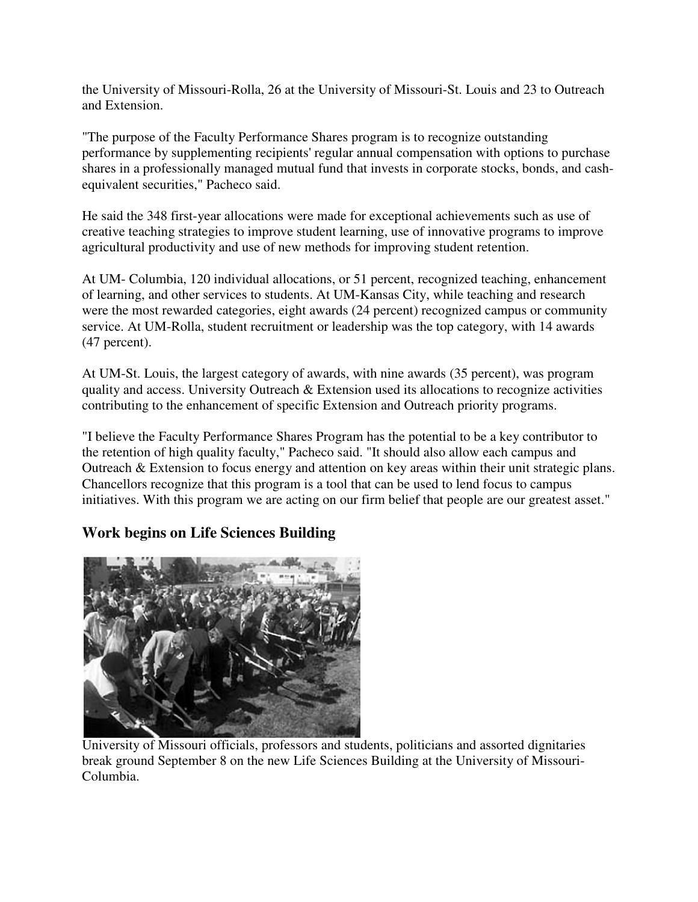the University of Missouri-Rolla, 26 at the University of Missouri-St. Louis and 23 to Outreach and Extension.

"The purpose of the Faculty Performance Shares program is to recognize outstanding performance by supplementing recipients' regular annual compensation with options to purchase shares in a professionally managed mutual fund that invests in corporate stocks, bonds, and cashequivalent securities," Pacheco said.

He said the 348 first-year allocations were made for exceptional achievements such as use of creative teaching strategies to improve student learning, use of innovative programs to improve agricultural productivity and use of new methods for improving student retention.

At UM- Columbia, 120 individual allocations, or 51 percent, recognized teaching, enhancement of learning, and other services to students. At UM-Kansas City, while teaching and research were the most rewarded categories, eight awards (24 percent) recognized campus or community service. At UM-Rolla, student recruitment or leadership was the top category, with 14 awards (47 percent).

At UM-St. Louis, the largest category of awards, with nine awards (35 percent), was program quality and access. University Outreach & Extension used its allocations to recognize activities contributing to the enhancement of specific Extension and Outreach priority programs.

"I believe the Faculty Performance Shares Program has the potential to be a key contributor to the retention of high quality faculty," Pacheco said. "It should also allow each campus and Outreach & Extension to focus energy and attention on key areas within their unit strategic plans. Chancellors recognize that this program is a tool that can be used to lend focus to campus initiatives. With this program we are acting on our firm belief that people are our greatest asset."

# **Work begins on Life Sciences Building**



University of Missouri officials, professors and students, politicians and assorted dignitaries break ground September 8 on the new Life Sciences Building at the University of Missouri-Columbia.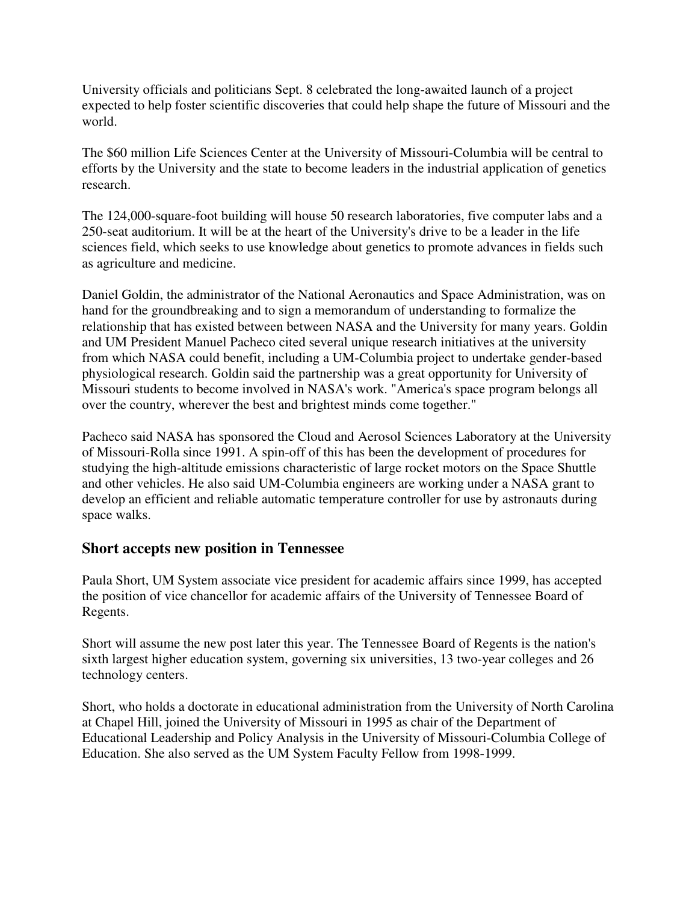University officials and politicians Sept. 8 celebrated the long-awaited launch of a project expected to help foster scientific discoveries that could help shape the future of Missouri and the world.

The \$60 million Life Sciences Center at the University of Missouri-Columbia will be central to efforts by the University and the state to become leaders in the industrial application of genetics research.

The 124,000-square-foot building will house 50 research laboratories, five computer labs and a 250-seat auditorium. It will be at the heart of the University's drive to be a leader in the life sciences field, which seeks to use knowledge about genetics to promote advances in fields such as agriculture and medicine.

Daniel Goldin, the administrator of the National Aeronautics and Space Administration, was on hand for the groundbreaking and to sign a memorandum of understanding to formalize the relationship that has existed between between NASA and the University for many years. Goldin and UM President Manuel Pacheco cited several unique research initiatives at the university from which NASA could benefit, including a UM-Columbia project to undertake gender-based physiological research. Goldin said the partnership was a great opportunity for University of Missouri students to become involved in NASA's work. "America's space program belongs all over the country, wherever the best and brightest minds come together."

Pacheco said NASA has sponsored the Cloud and Aerosol Sciences Laboratory at the University of Missouri-Rolla since 1991. A spin-off of this has been the development of procedures for studying the high-altitude emissions characteristic of large rocket motors on the Space Shuttle and other vehicles. He also said UM-Columbia engineers are working under a NASA grant to develop an efficient and reliable automatic temperature controller for use by astronauts during space walks.

### **Short accepts new position in Tennessee**

Paula Short, UM System associate vice president for academic affairs since 1999, has accepted the position of vice chancellor for academic affairs of the University of Tennessee Board of Regents.

Short will assume the new post later this year. The Tennessee Board of Regents is the nation's sixth largest higher education system, governing six universities, 13 two-year colleges and 26 technology centers.

Short, who holds a doctorate in educational administration from the University of North Carolina at Chapel Hill, joined the University of Missouri in 1995 as chair of the Department of Educational Leadership and Policy Analysis in the University of Missouri-Columbia College of Education. She also served as the UM System Faculty Fellow from 1998-1999.